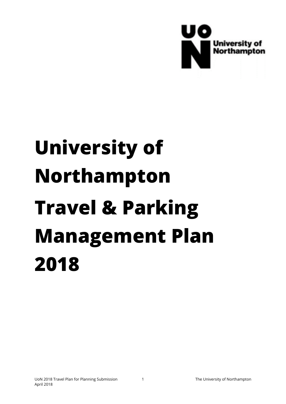

# **University of Northampton Travel & Parking Management Plan 2018**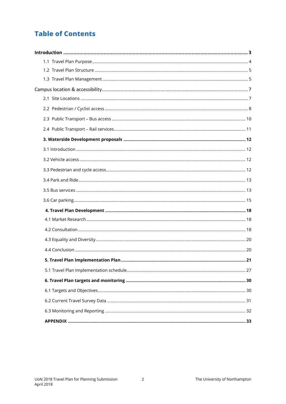# **Table of Contents**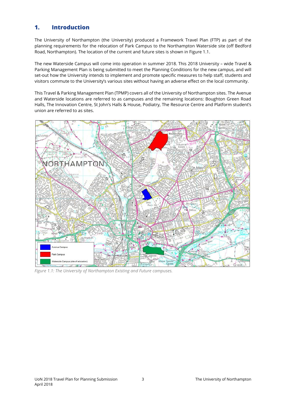# **1. Introduction**

The University of Northampton (the University) produced a Framework Travel Plan (FTP) as part of the planning requirements for the relocation of Park Campus to the Northampton Waterside site (off Bedford Road, Northampton). The location of the current and future sites is shown in Figure 1.1.

The new Waterside Campus will come into operation in summer 2018. This 2018 University – wide Travel & Parking Management Plan is being submitted to meet the Planning Conditions for the new campus, and will set-out how the University intends to implement and promote specific measures to help staff, students and visitors commute to the University's various sites without having an adverse effect on the local community.

This Travel & Parking Management Plan (TPMP) covers all of the University of Northampton sites. The Avenue and Waterside locations are referred to as campuses and the remaining locations: Boughton Green Road Halls, The Innovation Centre, St John's Halls & House, Podiatry, The Resource Centre and Platform student's union are referred to as sites.



*Figure 1.1: The University of Northampton Existing and Future campuses.*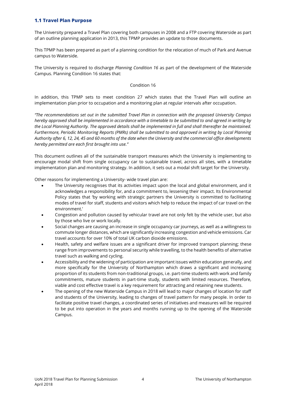# **1.1 Travel Plan Purpose**

The University prepared a Travel Plan covering both campuses in 2008 and a FTP covering Waterside as part of an outline planning application in 2013, this TPMP provides an update to those documents.

This TPMP has been prepared as part of a planning condition for the relocation of much of Park and Avenue campus to Waterside.

The University is required to discharge *Planning Condition 16* as part of the development of the Waterside Campus. Planning Condition 16 states that:

## Condition 16

In addition, this TPMP sets to meet condition 27 which states that the Travel Plan will outline an implementation plan prior to occupation and a monitoring plan at regular intervals after occupation.

*"The recommendations set out in the submitted Travel Plan in connection with the proposed University Campus hereby approved shall be implemented in accordance with a timetable to be submitted to and agreed in writing by the Local Planning Authority. The approved details shall be implemented in full and shall thereafter be maintained. Furthermore, Periodic Monitoring Reports (PMRs) shall be submitted to and approved in writing by Local Planning Authority after 6, 12, 24, 45 and 60 months of the date when the University and the commercial office developments hereby permitted are each first brought into use."*

This document outlines all of the sustainable transport measures which the University is implementing to encourage modal shift from single occupancy car to sustainable travel, across all sites, with a timetable implementation plan and monitoring strategy. In addition, it sets out a modal shift target for the University.

Other reasons for implementing a University- wide travel plan are:

- The University recognises that its activities impact upon the local and global environment, and it acknowledges a responsibility for, and a commitment to, lessening their impact. Its Environmental Policy states that 'by working with strategic partners the University is committed to facilitating modes of travel for staff, students and visitors which help to reduce the impact of car travel on the environment.'
- Congestion and pollution caused by vehicular travel are not only felt by the vehicle user, but also by those who live or work locally.
- Social changes are causing an increase in single occupancy car journeys, as well as a willingness to commute longer distances, which are significantly increasing congestion and vehicle emissions. Car travel accounts for over 10% of total UK carbon dioxide emissions.
- Health, safety and welfare issues are a significant driver for improved transport planning; these range from improvements to personal security while travelling, to the health benefits of alternative travel such as walking and cycling.
- Accessibility and the widening of participation are important issues within education generally, and more specifically for the University of Northampton which draws a significant and increasing proportion of its students from non-traditional groups, i.e. part-time students with work and family commitments, mature students in part-time study, students with limited resources. Therefore, viable and cost effective travel is a key requirement for attracting and retaining new students.
- The opening of the new Waterside Campus in 2018 will lead to major changes of location for staff and students of the University, leading to changes of travel pattern for many people. In order to facilitate positive travel changes, a coordinated series of initiatives and measures will be required to be put into operation in the years and months running up to the opening of the Waterside Campus.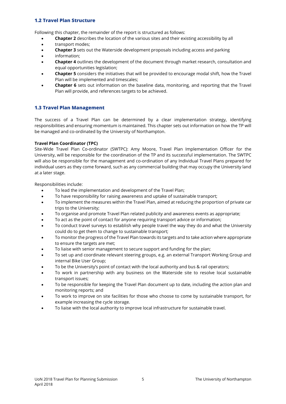# **1.2 Travel Plan Structure**

Following this chapter, the remainder of the report is structured as follows:

- **Chapter 2** describes the location of the various sites and their existing accessibility by all
- transport modes;
- **Chapter 3** sets out the Waterside development proposals including access and parking
- information;
- **Chapter 4** outlines the development of the document through market research, consultation and equal opportunities legislation;
- **Chapter 5** considers the initiatives that will be provided to encourage modal shift, how the Travel Plan will be implemented and timescales;
- **Chapter 6** sets out information on the baseline data, monitoring, and reporting that the Travel Plan will provide, and references targets to be achieved.

# **1.3 Travel Plan Management**

The success of a Travel Plan can be determined by a clear implementation strategy, identifying responsibilities and ensuring momentum is maintained. This chapter sets out information on how the TP will be managed and co-ordinated by the University of Northampton.

# **Travel Plan Coordinator (TPC)**

Site-Wide Travel Plan Co-ordinator (SWTPC): Amy Moore, Travel Plan Implementation Officer for the University, will be responsible for the coordination of the TP and its successful implementation. The SWTPC will also be responsible for the management and co-ordination of any Individual Travel Plans prepared for individual users as they come forward, such as any commercial building that may occupy the University land at a later stage.

Responsibilities include:

- To lead the implementation and development of the Travel Plan;
- To have responsibility for raising awareness and uptake of sustainable transport;
- To implement the measures within the Travel Plan, aimed at reducing the proportion of private car trips to the University;
- To organise and promote Travel Plan related publicity and awareness events as appropriate;
- To act as the point of contact for anyone requiring transport advice or information;
- To conduct travel surveys to establish why people travel the way they do and what the University could do to get them to change to sustainable transport;
- To monitor the progress of the Travel Plan towards its targets and to take action where appropriate to ensure the targets are met;
- To liaise with senior management to secure support and funding for the plan;
- To set up and coordinate relevant steering groups, e.g. an external Transport Working Group and internal Bike User Group;
- To be the University's point of contact with the local authority and bus & rail operators;
- To work in partnership with any business on the Waterside site to resolve local sustainable transport issues;
- To be responsible for keeping the Travel Plan document up to date, including the action plan and monitoring reports; and
- To work to improve on site facilities for those who choose to come by sustainable transport, for example increasing the cycle storage.
- To liaise with the local authority to improve local infrastructure for sustainable travel.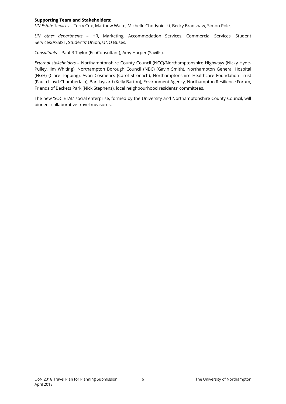#### **Supporting Team and Stakeholders:**

*UN Estate Services* – Terry Cox, Matthew Waite, Michelle Chodyniecki, Becky Bradshaw, Simon Pole.

*UN other departments* – HR, Marketing, Accommodation Services, Commercial Services, Student Services/ASSIST, Students' Union, UNO Buses.

*Consultants* – Paul R Taylor (EcoConsultant), Amy Harper (Savills).

*External stakeholders* – Northamptonshire County Council (NCC)/Northamptonshire Highways (Nicky Hyde-Pulley, Jim Whiting), Northampton Borough Council (NBC) (Gavin Smith), Northampton General Hospital (NGH) (Clare Topping), Avon Cosmetics (Carol Stronach), Northamptonshire Healthcare Foundation Trust (Paula Lloyd-Chamberlain), Barclaycard (Kelly Barton), Environment Agency, Northampton Resilience Forum, Friends of Beckets Park (Nick Stephens), local neighbourhood residents' committees.

The new 'SOCIETAL' social enterprise, formed by the University and Northamptonshire County Council, will pioneer collaborative travel measures.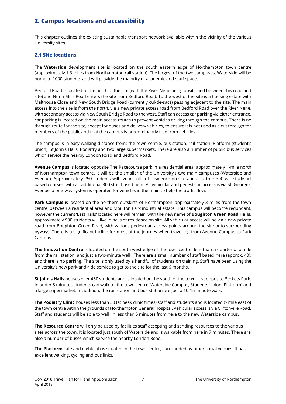# **2. Campus locations and accessibility**

This chapter outlines the existing sustainable transport network available within the vicinity of the various University sites.

# **2.1 Site locations**

The **Waterside** development site is located on the south eastern edge of Northampton town centre (approximately 1.3 miles from Northampton rail station). The largest of the two campuses, Waterside will be home to 1000 students and will provide the majority of academic and staff space.

Bedford Road is located to the north of the site (with the River Nene being positioned between this road and site) and Nunn Mills Road enters the site from Bedford Road. To the west of the site is a housing estate with Malthouse Close and New South Bridge Road (currently cul-de-sacs) passing adjacent to the site. The main access into the site is from the north, via a new private access road from Bedford Road over the River Nene, with secondary access via New South Bridge Road to the west. Staff can access car parking via either entrance, car parking is located on the main access routes to prevent vehicles driving through the campus. There is no through route for the site, except for buses and delivery vehicles, to ensure it is not used as a cut through for members of the public and that the campus is predominantly free from vehicles.

The campus is in easy walking distance from: the town centre, bus station, rail station, Platform (student's union), St John's Halls, Podiatry and two large supermarkets. There are also a number of public bus services which service the nearby London Road and Bedford Road.

**Avenue Campus** is located opposite The Racecourse park in a residential area, approximately 1-mile north of Northampton town centre. It will be the smaller of the University's two main campuses (Waterside and Avenue). Approximately 250 students will live in halls of residence on site and a further 300 will study art based courses, with an additional 300 staff based here. All vehicular and pedestrian access is via St. George's Avenue; a one-way system is operated for vehicles in the main to help the traffic flow.

**Park Campus** is located on the northern outskirts of Northampton, approximately 3 miles from the town centre, between a residential area and Moulton Park industrial estate. This campus will become redundant, however the current 'East Halls' located here will remain, with the new name of **Boughton Green Road Halls**. Approximately 900 students will live in halls of residence on site. All vehicular access will be via a new private road from Boughton Green Road, with various pedestrian access points around the site onto surrounding byways. There is a significant incline for most of the journey when travelling from Avenue Campus to Park Campus.

**The Innovation Centre** is located on the south west edge of the town centre, less than a quarter of a mile from the rail station, and just a two-minute walk. There are a small number of staff based here (approx. 40), and there is no parking. The site is only used by a handful of students on training. Staff have been using the University's new park-and-ride service to get to the site for the last 6 months.

**St John's Halls** houses over 450 students and is located on the south of the town, just opposite Beckets Park. In under 5 minutes students can walk to: the town centre, Waterside Campus, Students Union (Platform) and a large supermarket. In addition, the rail station and bus station are just a 10-15-minute walk.

**The Podiatry Clinic** houses less than 50 (at peak clinic times) staff and students and is located ½ mile east of the town centre within the grounds of Northampton General Hospital. Vehicular access is via Cliftonville Road. Staff and students will be able to walk in less than 5 minutes from here to the new Waterside campus.

**The Resource Centre** will only be used by facilities staff accepting and sending resources to the various sites across the town. It is located just south of Waterside and is walkable from here in 7 minutes. There are also a number of buses which service the nearby London Road.

**The Platform** café and nightclub is situated in the town centre, surrounded by other social venues. It has excellent walking, cycling and bus links.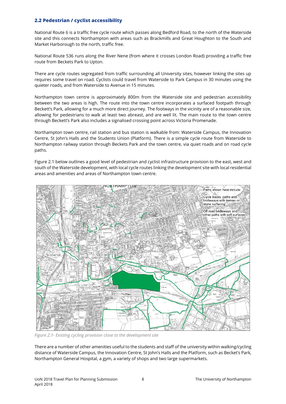# **2.2 Pedestrian / cyclist accessibility**

National Route 6 is a traffic free cycle route which passes along Bedford Road, to the north of the Waterside site and this connects Northampton with areas such as Brackmills and Great Houghton to the South and Market Harborough to the north, traffic free.

National Route 536 runs along the River Nene (from where it crosses London Road) providing a traffic free route from Beckets Park to Upton.

There are cycle routes segregated from traffic surrounding all University sites, however linking the sites up requires some travel on road. Cyclists could travel from Waterside to Park Campus in 30 minutes using the quieter roads, and from Waterside to Avenue in 15 minutes.

Northampton town centre is approximately 800m from the Waterside site and pedestrian accessibility between the two areas is high. The route into the town centre incorporates a surfaced footpath through Beckett's Park, allowing for a much more direct journey. The footways in the vicinity are of a reasonable size, allowing for pedestrians to walk at least two abreast, and are well lit. The main route to the town centre through Beckett's Park also includes a signalised crossing point across Victoria Promenade.

Northampton town centre, rail station and bus station is walkable from: Waterside Campus, the Innovation Centre, St John's Halls and the Students Union (Platform). There is a simple cycle route from Waterside to Northampton railway station through Beckets Park and the town centre, via quiet roads and on road cycle paths.

Figure 2.1 below outlines a good level of pedestrian and cyclist infrastructure provision to the east, west and south of the Waterside development, with local cycle routes linking the development site with local residential areas and amenities and areas of Northampton town centre.



*Figure 2.1- Existing cycling provision close to the development site*

There are a number of other amenities useful to the students and staff of the university within walking/cycling distance of Waterside Campus, the Innovation Centre, St John's Halls and the Platform, such as Becket's Park, Northampton General Hospital, a gym, a variety of shops and two large supermarkets.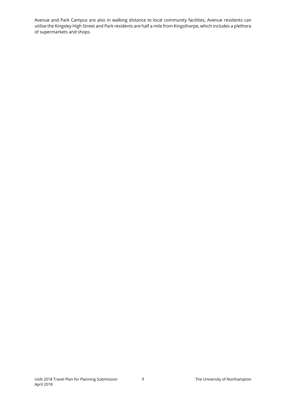Avenue and Park Campus are also in walking distance to local community facilities, Avenue residents can utilise the Kingsley High Street and Park residents are half a mile from Kingsthorpe, which includes a plethora of supermarkets and shops.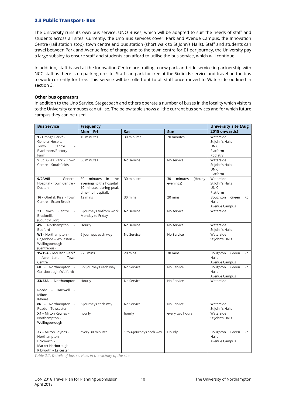# **2.3 Public Transport- Bus**

The University runs its own bus service, UNO Buses, which will be adapted to suit the needs of staff and students across all sites. Currently, the Uno Bus services cover: Park and Avenue Campus, the Innovation Centre (rail station stop), town centre and bus station (short walk to St John's Halls). Staff and students can travel between Park and Avenue free of charge and to the town centre for £1 per journey, the University pay a large subsidy to ensure staff and students can afford to utilise the bus service, which will continue.

In addition, staff based at the Innovation Centre are trailing a new park-and-ride service in partnership with NCC staff as there is no parking on site. Staff can park for free at the Sixfields service and travel on the bus to work currently for free. This service will be rolled out to all staff once moved to Waterside outlined in section 3.

## **Other bus operators**

In addition to the Uno Service, Stagecoach and others operate a number of buses in the locality which visitors to the University campuses can utilise. The below table shows all the current bus services and for which future campus they can be used.

| <b>Bus Service</b>                                                                                | <b>Frequency</b>                                                                                         | <b>University site (Aug</b> |                                       |                                                                     |
|---------------------------------------------------------------------------------------------------|----------------------------------------------------------------------------------------------------------|-----------------------------|---------------------------------------|---------------------------------------------------------------------|
|                                                                                                   | Mon-Fri                                                                                                  | Sat                         | Sun                                   | 2018 onwards)                                                       |
| 1 - Grange Park* -<br>General Hospital -<br>Town<br>Centre<br>Blackthorn/Rectory<br>Farm          | 10 minutes                                                                                               | 30 minutes                  | 20 minutes                            | Waterside<br>St John's Halls<br><b>UNIC</b><br>Platform<br>Podiatry |
| 5 St. Giles Park - Town<br>Centre - Southfields                                                   | 30 minutes                                                                                               | No service                  | No service                            | Waterside<br>St John's Halls<br><b>UNIC</b><br>Platform             |
| 9/9A/9B<br>General<br>Hospital - Town Centre -<br>Duston                                          | minutes<br>30<br>in<br>the<br>evenings to the hospital.<br>10 minutes during peak<br>time (no hospital). | 30 minutes                  | minutes<br>(Hourly<br>30<br>evenings) | Waterside<br>St John's Halls<br><b>UNIC</b><br>Platform             |
| 16 - Obelisk Rise - Town<br>Centre - Ecton Brook                                                  | 12 mins                                                                                                  | 30 mins                     | 20 mins                               | Boughton<br>Green<br>Rd<br>Halls<br>Avenue Campus                   |
| 23<br>town<br>Centre<br>$\equiv$<br><b>Brackmills</b><br>(Country Lion)                           | 3 journeys to/from work<br>Monday to Friday                                                              | No service                  | No service                            | Waterside                                                           |
| 41- Northampton<br>Bedford                                                                        | Hourly                                                                                                   | No service                  | No service                            | Waterside<br>St John's Halls                                        |
| W8 - Northampton -<br>Cogenhoe - Wollaston -<br>Wellingborough<br>(Centrebus)                     | 6 journeys each way                                                                                      | No Service                  | No Service                            | Waterside<br>St John's Halls                                        |
| 15/15A - Moulton Park*<br>- Acre Lane - Town<br>Centre                                            | $-20$ mins                                                                                               | 20 mins                     | 30 mins                               | Boughton<br>Green<br>Rd<br>Halls<br>Avenue Campus                   |
| 60 - Northampton -<br>Guilsborough (Welford)                                                      | 6/7 journeys each way                                                                                    | No Service                  | No Service                            | Boughton Green<br>Rd<br>Halls<br>Avenue Campus                      |
| 33/33A - Northampton<br>Roade - Hartwell -<br>Milton<br>Keynes                                    | Hourly                                                                                                   | No Service                  | No Service                            | Waterside                                                           |
| 86 - Northampton -<br>Roade - Towcester                                                           | 5 journeys each way                                                                                      | No Service                  | No Service                            | Waterside<br>St John's Halls                                        |
| X4 - Milton Keynes -<br>Northampton -<br>Wellingborough -                                         | hourly                                                                                                   | hourly                      | every two hours                       | Waterside<br>St John's Halls                                        |
| X7 - Milton Keynes -<br>Northampton<br>Brixworth -<br>Market Harborough -<br>Kibworth - Leicester | every 30 minutes                                                                                         | 1 to 4 journeys each way    | Hourly                                | Boughton<br>Green<br>Rd<br>Halls<br>Avenue Campus                   |

*Table 2.1: Details of bus services in the vicinity of the site.*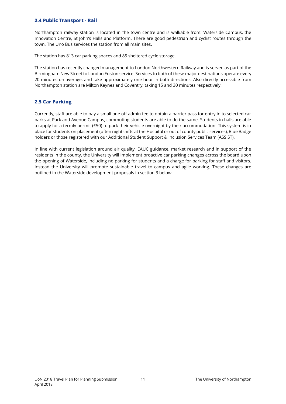# **2.4 Public Transport - Rail**

Northampton railway station is located in the town centre and is walkable from: Waterside Campus, the Innovation Centre, St John's Halls and Platform. There are good pedestrian and cyclist routes through the town. The Uno Bus services the station from all main sites.

The station has 813 car parking spaces and 85 sheltered cycle storage.

The station has recently changed management to London Northwestern Railway and is served as part of the Birmingham New Street to London Euston service. Services to both of these major destinations operate every 20 minutes on average, and take approximately one hour in both directions. Also directly accessible from Northampton station are Milton Keynes and Coventry, taking 15 and 30 minutes respectively.

# **2.5 Car Parking**

Currently, staff are able to pay a small one off admin fee to obtain a barrier pass for entry in to selected car parks at Park and Avenue Campus, commuting students are able to do the same. Students in halls are able to apply for a termly permit (£50) to park their vehicle overnight by their accommodation. This system is in place for students on placement (often nightshifts at the Hospital or out of county public services), Blue Badge holders or those registered with our Additional Student Support & Inclusion Services Team (ASSIST).

In line with current legislation around air quality, EAUC guidance, market research and in support of the residents in the county, the University will implement proactive car parking changes across the board upon the opening of Waterside, including no parking for students and a charge for parking for staff and visitors. Instead the University will promote sustainable travel to campus and agile working. These changes are outlined in the Waterside development proposals in section 3 below.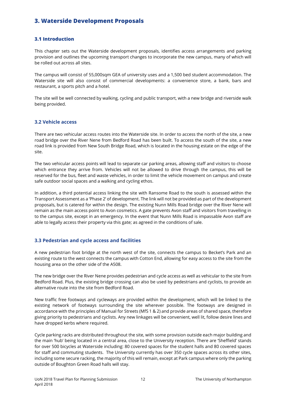# **3. Waterside Development Proposals**

# **3.1 Introduction**

This chapter sets out the Waterside development proposals, identifies access arrangements and parking provision and outlines the upcoming transport changes to incorporate the new campus, many of which will be rolled out across all sites.

The campus will consist of 55,000sqm GEA of university uses and a 1,500 bed student accommodation. The Waterside site will also consist of commercial developments: a convenience store, a bank, bars and restaurant, a sports pitch and a hotel.

The site will be well connected by walking, cycling and public transport, with a new bridge and riverside walk being provided.

# **3.2 Vehicle access**

There are two vehicular access routes into the Waterside site. In order to access the north of the site, a new road bridge over the River Nene from Bedford Road has been built. To access the south of the site, a new road link is provided from New South Bridge Road, which is located in the housing estate on the edge of the site.

The two vehicular access points will lead to separate car parking areas, allowing staff and visitors to choose which entrance they arrive from. Vehicles will not be allowed to drive through the campus, this will be reserved for the bus, fleet and waste vehicles, in order to limit the vehicle movement on campus and create safe outdoor social spaces and a walking and cycling ethos.

In addition, a third potential access linking the site with Ransome Road to the south is assessed within the Transport Assessment as a 'Phase 2' of development. The link will not be provided as part of the development proposals, but is catered for within the design. The existing Nunn Mills Road bridge over the River Nene will remain as the main access point to Avon cosmetics. A gate prevents Avon staff and visitors from travelling in to the campus site, except in an emergency. In the event that Nunn Mills Road is impassable Avon staff are able to legally access their property via this gate; as agreed in the conditions of sale.

# **3.3 Pedestrian and cycle access and facilities**

A new pedestrian foot bridge at the north west of the site, connects the campus to Becket's Park and an existing route to the west connects the campus with Cotton End, allowing for easy access to the site from the housing area on the other side of the A508.

The new bridge over the River Nene provides pedestrian and cycle access as well as vehicular to the site from Bedford Road. Plus, the existing bridge crossing can also be used by pedestrians and cyclists, to provide an alternative route into the site from Bedford Road.

New traffic free footways and cycleways are provided within the development, which will be linked to the existing network of footways surrounding the site wherever possible. The footways are designed in accordance with the principles of Manual for Streets (MfS 1 & 2) and provide areas of shared space, therefore giving priority to pedestrians and cyclists. Any new linkages will be convenient, well lit, follow desire lines and have dropped kerbs where required.

Cycle parking racks are distributed throughout the site, with some provision outside each major building and the main 'hub' being located in a central area, close to the University reception. There are 'Sheffield' stands for over 500 bicycles at Waterside including: 80 covered spaces for the student halls and 80 covered spaces for staff and commuting students. The University currently has over 350 cycle spaces across its other sites, including some secure racking, the majority of this will remain, except at Park campus where only the parking outside of Boughton Green Road halls will stay.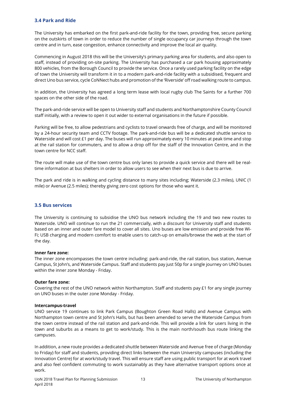# **3.4 Park and Ride**

The University has embarked on the first park-and-ride facility for the town, providing free, secure parking on the outskirts of town in order to reduce the number of single occupancy car journeys through the town centre and in turn, ease congestion, enhance connectivity and improve the local air quality.

Commencing in August 2018 this will be the University's primary parking area for students, and also open to staff, instead of providing on-site parking. The University has purchased a car park housing approximately 800 vehicles, from the Borough Council to provide the service. Once a rarely used parking facility on the edge of town the University will transform it in to a modern park-and-ride facility with a subsidised, frequent and direct Uno bus service, cycle CoNNect hubs and promotion of the 'Riverside' off road walking route to campus.

In addition, the University has agreed a long term lease with local rugby club The Saints for a further 700 spaces on the other side of the road.

The park-and-ride service will be open to University staff and students and Northamptonshire County Council staff initially, with a review to open it out wider to external organisations in the future if possible.

Parking will be free, to allow pedestrians and cyclists to travel onwards free of charge, and will be monitored by a 24-hour security team and CCTV footage. The park-and-ride bus will be a dedicated shuttle service to Waterside and will cost £1 per day. The buses will run approximately every 10 minutes at peak time and stop at the rail station for commuters, and to allow a drop off for the staff of the Innovation Centre, and in the town centre for NCC staff.

The route will make use of the town centre bus only lanes to provide a quick service and there will be realtime information at bus shelters in order to allow users to see when their next bus is due to arrive.

The park and ride is in walking and cycling distance to many sites including; Waterside (2.3 miles), UNIC (1 mile) or Avenue (2.5 miles); thereby giving zero cost options for those who want it.

## **3.5 Bus services**

The University is continuing to subsidise the UNO bus network including the 19 and two new routes to Waterside. UNO will continue to run the 21 commercially, with a discount for University staff and students based on an inner and outer fare model to cover all sites. Uno buses are low emission and provide free Wi-Fi; USB charging and modern comfort to enable users to catch-up on emails/browse the web at the start of the day.

## **Inner fare zone:**

The inner zone encompasses the town centre including: park-and-ride, the rail station, bus station, Avenue Campus, St John's, and Waterside Campus. Staff and students pay just 50p for a single journey on UNO buses within the inner zone Monday - Friday.

## **Outer fare zone:**

Covering the rest of the UNO network within Northampton. Staff and students pay £1 for any single journey on UNO buses in the outer zone Monday - Friday.

#### **Intercampus-travel**

UNO service 19 continues to link Park Campus (Boughton Green Road Halls) and Avenue Campus with Northampton town centre and St John's Halls, but has been amended to serve the Waterside Campus from the town centre instead of the rail station and park-and-ride. This will provide a link for users living in the town and suburbs as a means to get to work/study. This is the main north/south bus route linking the campuses.

In addition, a new route provides a dedicated shuttle between Waterside and Avenue free of charge (Monday to Friday) for staff and students, providing direct links between the main University campuses (including the Innovation Centre) for at work/study travel. This will ensure staff are using public transport for at work travel and also feel confident commuting to work sustainably as they have alternative transport options once at work.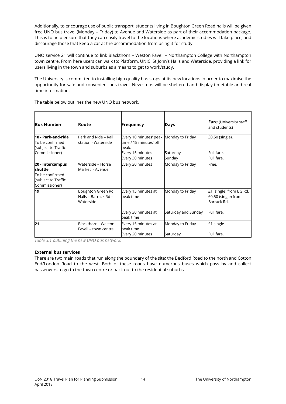Additionally, to encourage use of public transport, students living in Boughton Green Road halls will be given free UNO bus travel (Monday – Friday) to Avenue and Waterside as part of their accommodation package. This is to help ensure that they can easily travel to the locations where academic studies will take place, and discourage those that keep a car at the accommodation from using it for study.

UNO service 21 will continue to link Blackthorn – Weston Favell – Northampton College with Northampton town centre. From here users can walk to: Platform, UNIC, St John's Halls and Waterside, providing a link for users living in the town and suburbs as a means to get to work/study.

The University is committed to installing high quality bus stops at its new locations in order to maximise the opportunity for safe and convenient bus travel. New stops will be sheltered and display timetable and real time information.

|  |  |  |  | The table below outlines the new UNO bus network. |
|--|--|--|--|---------------------------------------------------|
|  |  |  |  |                                                   |

| <b>Bus Number</b>                                                                      | Route                                                  | <b>Frequency</b>                                                                                                   | Days                                    | <b>Fare</b> (University staff<br>and students)                              |
|----------------------------------------------------------------------------------------|--------------------------------------------------------|--------------------------------------------------------------------------------------------------------------------|-----------------------------------------|-----------------------------------------------------------------------------|
| 18 - Park-and-ride<br>To be confirmed<br>(subject to Traffic<br>Commissioner)          | Park and Ride - Rail<br>station - Waterside            | Every 10 minutes' peak Monday to Friday<br>time / 15 minutes' off<br>peak.<br>Every 15 minutes<br>Every 30 minutes | Saturday<br>Sunday                      | £0.50 (single).<br>Full fare.<br>Full fare.                                 |
| 20 - Intercampus<br>shuttle<br>To be confirmed<br>(subject to Traffic<br>Commissioner) | Waterside – Horse<br>Market - Avenue                   | Every 30 minutes                                                                                                   | Monday to Friday                        | Free.                                                                       |
| 19                                                                                     | Boughton Green Rd<br>Halls – Barrack Rd –<br>Waterside | Every 15 minutes at<br>peak time<br>Every 30 minutes at<br>peak time                                               | Monday to Friday<br>Saturday and Sunday | £1 (single) from BG Rd.<br>£0.50 (single) from<br>Barrack Rd.<br>Full fare. |
| 21                                                                                     | Blackthorn - Weston<br>Favell – town centre            | Every 15 minutes at<br>peak time<br>Every 20 minutes                                                               | Monday to Friday<br>Saturday            | £1 single.<br>Full fare.                                                    |

*Table 3.1 outlining the new UNO bus network.* 

## **External bus services**

There are two main roads that run along the boundary of the site; the Bedford Road to the north and Cotton End/London Road to the west. Both of these roads have numerous buses which pass by and collect passengers to go to the town centre or back out to the residential suburbs.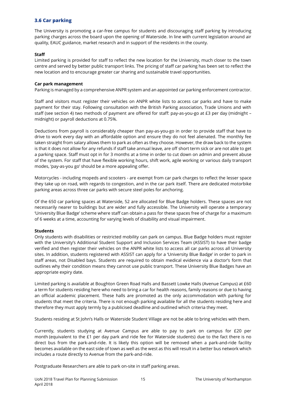# **3.6 Car parking**

The University is promoting a car-free campus for students and discouraging staff parking by introducing parking charges across the board upon the opening of Waterside. In line with current legislation around air quality, EAUC guidance, market research and in support of the residents in the county.

# **Staff**

Limited parking is provided for staff to reflect the new location for the University, much closer to the town centre and served by better public transport links. The pricing of staff car parking has been set to reflect the new location and to encourage greater car sharing and sustainable travel opportunities.

## **Car park management**

Parking is managed by a comprehensive ANPR system and an appointed car parking enforcement contractor.

Staff and visitors must register their vehicles on ANPR white lists to access car parks and have to make payment for their stay. Following consultation with the British Parking association, Trade Unions and with staff (see section 4) two methods of payment are offered for staff: pay-as-you-go at £3 per day (midnight – midnight) or payroll deductions at 0.75%.

Deductions from payroll is considerably cheaper than pay-as-you-go in order to provide staff that have to drive to work every day with an affordable option and ensure they do not feel alienated. The monthly fee taken straight from salary allows them to park as often as they choose. However, the draw back to the system is that it does not allow for any refunds if staff take annual leave, are off short term sick or are not able to get a parking space. Staff must opt in for 3 months at a time in order to cut down on admin and prevent abuse of the system. For staff that have flexible working hours, shift work, agile working or various daily transport modes, 'pay-as-you go' should be a more appealing offer.

Motorcycles - including mopeds and scooters - are exempt from car park charges to reflect the lesser space they take up on road, with regards to congestion, and in the car park itself. There are dedicated motorbike parking areas across three car parks with secure steel poles for anchoring.

Of the 650 car parking spaces at Waterside, 52 are allocated for Blue Badge holders. These spaces are not necessarily nearer to buildings but are wider and fully accessible. The University will operate a temporary 'University Blue Badge' scheme where staff can obtain a pass for these spaces free of charge for a maximum of 6 weeks at a time, accounting for varying levels of disability and visual impairment.

# **Students**

Only students with disabilities or restricted mobility can park on campus. Blue Badge holders must register with the University's Additional Student Support and Inclusion Services Team (ASSIST) to have their badge verified and then register their vehicles on the ANPR white lists to access all car parks across all University sites. In addition, students registered with ASSIST can apply for a 'University Blue Badge' in order to park in staff areas, not Disabled bays. Students are required to obtain medical evidence via a doctor's form that outlines why their condition means they cannot use public transport. These University Blue Badges have an appropriate expiry date.

Limited parking is available at Boughton Green Road Halls and Bassett Lowke Halls (Avenue Campus) at £60 a term for students residing here who need to bring a car for health reasons, family reasons or due to having an official academic placement. These halls are promoted as the only accommodation with parking for students that meet the criteria. There is not enough parking available for all the students residing here and therefore they must apply termly by a publicised deadline and outlined which criteria they meet.

Students residing at St John's Halls or Waterside Student Village are not be able to bring vehicles with them.

Currently, students studying at Avenue Campus are able to pay to park on campus for £20 per month (equivalent to the £1 per day park and ride fee for Waterside students) due to the fact there is no direct bus from the park-and-ride. It is likely this option will be removed when a park-and-ride facility becomes available on the east side of town as well as the west as this will result in a better bus network which includes a route directly to Avenue from the park-and-ride.

Postgraduate Researchers are able to park on-site in staff parking areas.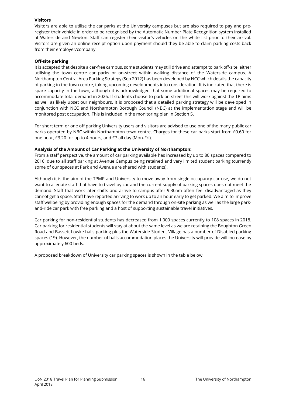## **Visitors**

Visitors are able to utilise the car parks at the University campuses but are also required to pay and preregister their vehicle in order to be recognised by the Automatic Number Plate Recognition system installed at Waterside and Newton. Staff can register their visitor's vehicles on the white list prior to their arrival. Visitors are given an online receipt option upon payment should they be able to claim parking costs back from their employer/company.

## **Off-site parking**

It is accepted that despite a car-free campus, some students may still drive and attempt to park off-site, either utilising the town centre car parks or on-street within walking distance of the Waterside campus. A Northampton Central Area Parking Strategy (Sep 2012) has been developed by NCC which details the capacity of parking in the town centre, taking upcoming developments into consideration. It is indicated that there is spare capacity in the town, although it is acknowledged that some additional spaces may be required to accommodate total demand in 2026. If students choose to park on-street this will work against the TP aims as well as likely upset our neighbours. It is proposed that a detailed parking strategy will be developed in conjunction with NCC and Northampton Borough Council (NBC) at the implementation stage and will be monitored post occupation. This is included in the monitoring plan in Section 5.

For short term or one off parking University users and visitors are advised to use one of the many public car parks operated by NBC within Northampton town centre. Charges for these car parks start from £0.60 for one hour, £3.20 for up to 4 hours, and £7 all day (Mon-Fri).

# **Analysis of the Amount of Car Parking at the University of Northampton:**

From a staff perspective, the amount of car parking available has increased by up to 80 spaces compared to 2016, due to all staff parking at Avenue Campus being retained and very limited student parking (currently some of our spaces at Park and Avenue are shared with students).

Although it is the aim of the TPMP and University to move away from single occupancy car use, we do not want to alienate staff that have to travel by car and the current supply of parking spaces does not meet the demand. Staff that work later shifts and arrive to campus after 9:30am often feel disadvantaged as they cannot get a space. Staff have reported arriving to work up to an hour early to get parked. We aim to improve staff wellbeing by providing enough spaces for the demand through on-site parking as well as the large parkand-ride car park with free parking and a host of supporting sustainable travel initiatives.

Car parking for non-residential students has decreased from 1,000 spaces currently to 108 spaces in 2018. Car parking for residential students will stay at about the same level as we are retaining the Boughton Green Road and Bassett Lowke halls parking plus the Waterside Student Village has a number of Disabled parking spaces (19). However, the number of halls accommodation places the University will provide will increase by approximately 600 beds.

A proposed breakdown of University car parking spaces is shown in the table below.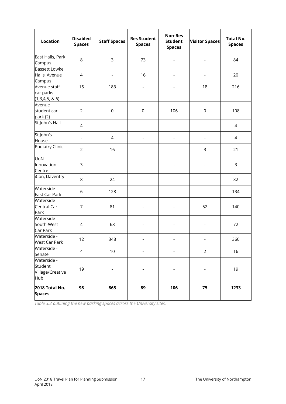| <b>Location</b>                                   | <b>Disabled</b><br><b>Spaces</b> | <b>Staff Spaces</b>      | <b>Res Student</b><br><b>Spaces</b> | <b>Non-Res</b><br><b>Student</b><br><b>Spaces</b> | <b>Visitor Spaces</b>    | <b>Total No.</b><br><b>Spaces</b> |
|---------------------------------------------------|----------------------------------|--------------------------|-------------------------------------|---------------------------------------------------|--------------------------|-----------------------------------|
| East Halls, Park<br>Campus                        | 8                                | $\mathsf{3}$             | 73                                  |                                                   | $\overline{\phantom{a}}$ | 84                                |
| <b>Bassett Lowke</b><br>Halls, Avenue<br>Campus   | $\overline{4}$                   | $\overline{\phantom{a}}$ | 16                                  |                                                   | $\overline{\phantom{0}}$ | 20                                |
| Avenue staff<br>car parks<br>(1,3,4,5, 8, 6)      | 15                               | 183                      | $\overline{\phantom{a}}$            | $\blacksquare$                                    | 18                       | 216                               |
| Avenue<br>student car<br>park (2)                 | $\overline{2}$                   | $\mathbf 0$              | $\mathsf 0$                         | 106                                               | $\mathbf 0$              | 108                               |
| St John's Hall                                    | $\overline{4}$                   | $\overline{\phantom{a}}$ | L,                                  | $\overline{a}$                                    | $\overline{a}$           | $\overline{4}$                    |
| St John's<br>House                                | $\overline{\phantom{0}}$         | 4                        | L,                                  | $\overline{\phantom{a}}$                          | $\overline{\phantom{a}}$ | 4                                 |
| Podiatry Clinic                                   | $\overline{2}$                   | 16                       | $\blacksquare$                      | $\blacksquare$                                    | 3                        | 21                                |
| UoN<br>Innovation<br>Centre                       | 3                                | $\overline{\phantom{a}}$ | $\overline{a}$                      | $\qquad \qquad \blacksquare$                      | $\overline{\phantom{0}}$ | 3                                 |
| iCon, Daventry                                    | 8                                | 24                       | L,                                  | $\overline{\phantom{a}}$                          | $\blacksquare$           | 32                                |
| Waterside -<br>East Car Park                      | 6                                | 128                      |                                     |                                                   | $\blacksquare$           | 134                               |
| Waterside -<br>Central Car<br>Park                | $\overline{7}$                   | 81                       |                                     |                                                   | 52                       | 140                               |
| Waterside -<br>South-West<br>Car Park             | 4                                | 68                       |                                     |                                                   |                          | 72                                |
| Waterside -<br><b>West Car Park</b>               | 12                               | 348                      | $\overline{\phantom{a}}$            | $\qquad \qquad \blacksquare$                      | $\overline{\phantom{a}}$ | 360                               |
| Waterside -<br>Senate                             | $\overline{4}$                   | 10                       | $\overline{\phantom{0}}$            | $\qquad \qquad \blacksquare$                      | $\mathbf 2$              | 16                                |
| Waterside -<br>Student<br>Village/Creative<br>Hub | 19                               |                          | $\overline{\phantom{0}}$            | $\overline{\phantom{a}}$                          | $\overline{\phantom{0}}$ | 19                                |
| 2018 Total No.<br><b>Spaces</b>                   | 98                               | 865                      | 89                                  | 106                                               | 75                       | 1233                              |

*Table 3.2 outlining the new parking spaces across the University sites.*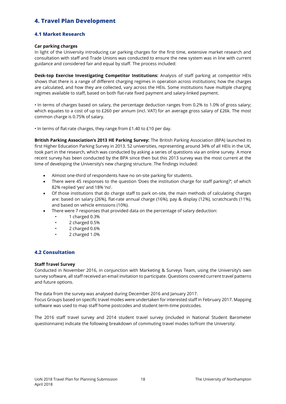# **4. Travel Plan Development**

# **4.1 Market Research**

## **Car parking charges**

In light of the University introducing car parking charges for the first time, extensive market research and consultation with staff and Trade Unions was conducted to ensure the new system was in line with current guidance and considered fair and equal by staff. The process included:

**Desk-top Exercise Investigating Competitor Institutions:** Analysis of staff parking at competitor HEIs shows that there is a range of different charging regimes in operation across institutions; how the charges are calculated, and how they are collected, vary across the HEIs. Some institutions have multiple charging regimes available to staff, based on both flat-rate fixed payment and salary-linked payment.

• In terms of charges based on salary, the percentage deduction ranges from 0.2% to 1.0% of gross salary; which equates to a cost of up to £260 per annum (incl. VAT) for an average gross salary of £26k. The most common charge is 0.75% of salary.

• In terms of flat-rate charges, they range from £1.40 to £10 per day.

**British Parking Association's 2013 HE Parking Survey:** The British Parking Association (BPA) launched its first Higher Education Parking Survey in 2013. 52 universities, representing around 34% of all HEIs in the UK, took part in the research, which was conducted by asking a series of questions via an online survey. A more recent survey has been conducted by the BPA since then but this 2013 survey was the most current at the time of developing the University's new charging structure. The findings included:

- Almost one-third of respondents have no on-site parking for students.
- There were 45 responses to the question 'Does the institution charge for staff parking?'; of which 82% replied 'yes' and 18% 'no'.
- Of those institutions that do charge staff to park on-site, the main methods of calculating charges are: based on salary (26%), flat-rate annual charge (16%), pay & display (12%), scratchcards (11%), and based on vehicle emissions (10%).
- There were 7 responses that provided data on the percentage of salary deduction:
	- 1 charged 0.3%
	- 2 charged 0.5%
	- 2 charged 0.6%
	- 2 charged 1.0%

# **4.2 Consultation**

## **Staff Travel Survey**

Conducted in November 2016, in conjunction with Marketing & Surveys Team, using the University's own survey software, all staff received an email invitation to participate. Questions covered current travel patterns and future options.

The data from the survey was analysed during December 2016 and January 2017. Focus Groups based on specific travel modes were undertaken for interested staff in February 2017. Mapping software was used to map staff home postcodes and student term-time postcodes.

The 2016 staff travel survey and 2014 student travel survey (included in National Student Barometer questionnaire) indicate the following breakdown of commuting travel modes to/from the University: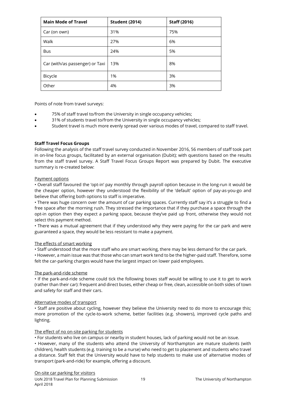| <b>Main Mode of Travel</b>      | <b>Student (2014)</b> | <b>Staff (2016)</b> |
|---------------------------------|-----------------------|---------------------|
| Car (on own)                    | 31%                   | 75%                 |
| Walk                            | 27%                   | 6%                  |
| <b>Bus</b>                      | 24%                   | 5%                  |
| Car (with/as passenger) or Taxi | 13%                   | 8%                  |
| Bicycle                         | 1%                    | 3%                  |
| Other                           | 4%                    | 3%                  |

Points of note from travel surveys:

- 75% of staff travel to/from the University in single occupancy vehicles;
- 31% of students travel to/from the University in single occupancy vehicles;
- Student travel is much more evenly spread over various modes of travel, compared to staff travel.

# **Staff Travel Focus Groups**

Following the analysis of the staff travel survey conducted in November 2016, 56 members of staff took part in on-line focus groups, facilitated by an external organisation (Dubit); with questions based on the results from the staff travel survey. A Staff Travel Focus Groups Report was prepared by Dubit. The executive summary is re-created below:

## Payment options

• Overall staff favoured the 'opt-in' pay monthly through payroll option because in the long-run it would be the cheaper option, however they understood the flexibility of the 'default' option of pay-as-you-go and believe that offering both options to staff is imperative.

• There was huge concern over the amount of car parking spaces. Currently staff say it's a struggle to find a free space after the morning rush. They stressed the importance that if they purchase a space through the opt-in option then they expect a parking space, because they've paid up front, otherwise they would not select this payment method.

• There was a mutual agreement that if they understood why they were paying for the car park and were guaranteed a space, they would be less resistant to make a payment.

## The effects of smart working

• Staff understood that the more staff who are smart working, there may be less demand for the car park.

• However, a main issue was that those who can smart work tend to be the higher-paid staff. Therefore, some felt the car-parking charges would have the largest impact on lower paid employees.

## The park-and-ride scheme

• If the park-and-ride scheme could tick the following boxes staff would be willing to use it to get to work (rather than their car): frequent and direct buses, either cheap or free, clean, accessible on both sides of town and safety for staff and their cars.

## Alternative modes of transport

• Staff are positive about cycling, however they believe the University need to do more to encourage this; more promotion of the cycle-to-work scheme, better facilities (e.g. showers), improved cycle paths and lighting.

## The effect of no on-site parking for students

• For students who live on campus or nearby in student houses, lack of parking would not be an issue.

• However, many of the students who attend the University of Northampton are mature students (with children), health students (e.g. training to be a nurse) who need to get to placement and students who travel a distance. Staff felt that the University would have to help students to make use of alternative modes of transport (park-and-ride) for example, offering a discount.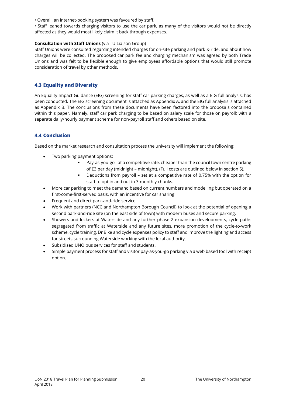• Overall, an internet-booking system was favoured by staff.

• Staff leaned towards charging visitors to use the car park, as many of the visitors would not be directly affected as they would most likely claim it back through expenses.

# **Consultation with Staff Unions** (via TU Liaison Group)

Staff Unions were consulted regarding intended charges for on-site parking and park & ride, and about how charges will be collected. The proposed car park fee and charging mechanism was agreed by both Trade Unions and was felt to be flexible enough to give employees affordable options that would still promote consideration of travel by other methods.

# **4.3 Equality and Diversity**

An Equality Impact Guidance (EIG) screening for staff car parking charges, as well as a EIG full analysis, has been conducted. The EIG screening document is attached as Appendix A, and the EIG full analysis is attached as Appendix B. The conclusions from these documents have been factored into the proposals contained within this paper. Namely, staff car park charging to be based on salary scale for those on payroll; with a separate daily/hourly payment scheme for non-payroll staff and others based on site.

# **4.4 Conclusion**

Based on the market research and consultation process the university will implement the following:

- Two parking payment options:
	- Pay-as-you-go– at a competitive rate, cheaper than the council town centre parking of £3 per day (midnight – midnight). (Full costs are outlined below in section 5).
	- Deductions from payroll set at a competitive rate of 0.75% with the option for staff to opt in and out in 3-monthly chunks.
- More car parking to meet the demand based on current numbers and modelling but operated on a first-come-first-served basis, with an incentive for car sharing.
- Frequent and direct park-and-ride service.
- Work with partners (NCC and Northampton Borough Council) to look at the potential of opening a second park-and-ride site (on the east side of town) with modern buses and secure parking.
- Showers and lockers at Waterside and any further phase 2 expansion developments, cycle paths segregated from traffic at Waterside and any future sites, more promotion of the cycle-to-work scheme, cycle training, Dr Bike and cycle expenses policy to staff and improve the lighting and access for streets surrounding Waterside working with the local authority.
- Subsidised UNO bus services for staff and students.
- Simple payment process for staff and visitor pay-as-you-go parking via a web based tool with receipt option.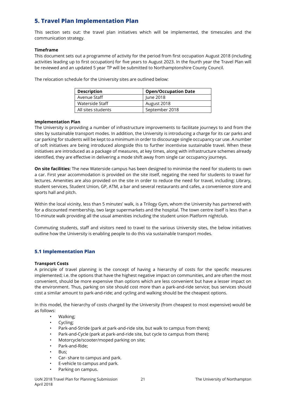# **5. Travel Plan Implementation Plan**

This section sets out: the travel plan initiatives which will be implemented, the timescales and the communication strategy.

# **Timeframe**

This document sets out a programme of activity for the period from first occupation August 2018 (including activities leading up to first occupation) for five years to August 2023. In the fourth year the Travel Plan will be reviewed and an updated 5 year TP will be submitted to Northamptonshire County Council.

The relocation schedule for the University sites are outlined below:

| <b>Description</b> | <b>Open/Occupation Date</b> |
|--------------------|-----------------------------|
| Avenue Staff       | June 2018                   |
| Waterside Staff    | August 2018                 |
| All sites students | September 2018              |

# **Implementation Plan**

The University is providing a number of infrastructure improvements to facilitate journeys to and from the sites by sustainable transport modes. In addition, the University is introducing a charge for its car parks and car parking for students will be kept to a minimum in order to discourage single occupancy car use. A number of soft initiatives are being introduced alongside this to further incentivise sustainable travel. When these initiatives are introduced as a package of measures, at key times, along with infrastructure schemes already identified, they are effective in delivering a mode shift away from single car occupancy journeys.

**On site facilities:** The new Waterside campus has been designed to minimise the need for students to own a car. First year accommodation is provided on the site itself, negating the need for students to travel for lectures. Amenities are also provided on the site in order to reduce the need for travel, including: Library, student services, Student Union, GP, ATM, a bar and several restaurants and cafes, a convenience store and sports hall and pitch.

Within the local vicinity, less than 5 minutes' walk, is a Trilogy Gym, whom the University has partnered with for a discounted membership, two large supermarkets and the hospital. The town centre itself is less than a 10-minute walk providing all the usual amenities including the student union Platform nightclub.

Commuting students, staff and visitors need to travel to the various University sites, the below initiatives outline how the University is enabling people to do this via sustainable transport modes.

# **5.1 Implementation Plan**

## **Transport Costs**

A principle of travel planning is the concept of having a hierarchy of costs for the specific measures implemented; i.e. the options that have the highest negative impact on communities, and are often the most convenient, should be more expensive than options which are less convenient but have a lesser impact on the environment. Thus, parking on site should cost more than a park-and-ride service; bus services should cost a similar amount to park-and-ride; and cycling and walking should be the cheapest options.

In this model, the hierarchy of costs charged by the University (from cheapest to most expensive) would be as follows:

- Walking;
- Cycling;
- Park-and-Stride (park at park-and-ride site, but walk to campus from there);
- Park-and-Cycle (park at park-and-ride site, but cycle to campus from there);
- Motorcycle/scooter/moped parking on site;
- Park-and-Ride;
- Bus;
- Car- share to campus and park.
- E-vehicle to campus and park.
- Parking on campus.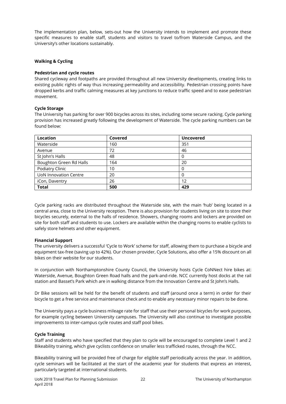The implementation plan, below, sets-out how the University intends to implement and promote these specific measures to enable staff, students and visitors to travel to/from Waterside Campus, and the University's other locations sustainably.

# **Walking & Cycling**

# **Pedestrian and cycle routes**

Shared cycleway and footpaths are provided throughout all new University developments, creating links to existing public rights of way thus increasing permeability and accessibility. Pedestrian crossing points have dropped kerbs and traffic calming measures at key junctions to reduce traffic speed and to ease pedestrian movement.

# **Cycle Storage**

The University has parking for over 900 bicycles across its sites, including some secure racking. Cycle parking provision has increased greatly following the development of Waterside. The cycle parking numbers can be found below:

| Location                     | Covered | <b>Uncovered</b> |
|------------------------------|---------|------------------|
| Waterside                    | 160     | 351              |
| Avenue                       | 72      | 46               |
| St John's Halls              | 48      | 0                |
| Boughton Green Rd Halls      | 164     | 20               |
| Podiatry Clinic              | 10      | 0                |
| <b>UoN Innovation Centre</b> | 20      | 0                |
| iCon, Daventry               | 26      | 12               |
| <b>Total</b>                 | 500     | 429              |

Cycle parking racks are distributed throughout the Waterside site, with the main 'hub' being located in a central area, close to the University reception. There is also provision for students living on site to store their bicycles securely, external to the halls of residence. Showers, changing rooms and lockers are provided on site for both staff and students to use. Lockers are available within the changing rooms to enable cyclists to safely store helmets and other equipment.

# **Financial Support**

The university delivers a successful 'Cycle to Work' scheme for staff, allowing them to purchase a bicycle and equipment tax-free (saving up to 42%). Our chosen provider, Cycle Solutions, also offer a 15% discount on all bikes on their website for our students.

In conjunction with Northamptonshire County Council, the University hosts Cycle CoNNect hire bikes at: Waterside, Avenue, Boughton Green Road halls and the park-and-ride. NCC currently host docks at the rail station and Basset's Park which are in walking distance from the Innovation Centre and St John's Halls.

Dr Bike sessions will be held for the benefit of students and staff (around once a term) in order for their bicycle to get a free service and maintenance check and to enable any necessary minor repairs to be done.

The University pays a cycle business mileage rate for staff that use their personal bicycles for work purposes, for example cycling between University campuses. The University will also continue to investigate possible improvements to inter-campus cycle routes and staff pool bikes.

# **Cycle Training**

Staff and students who have specified that they plan to cycle will be encouraged to complete Level 1 and 2 Bikeability training, which give cyclists confidence on smaller less trafficked routes, through the NCC.

Bikeability training will be provided free of charge for eligible staff periodically across the year. In addition, cycle seminars will be facilitated at the start of the academic year for students that express an interest, particularly targeted at international students.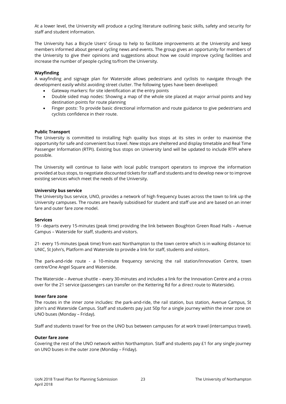At a lower level, the University will produce a cycling literature outlining basic skills, safety and security for staff and student information.

The University has a Bicycle Users' Group to help to facilitate improvements at the University and keep members informed about general cycling news and events. The group gives an opportunity for members of the University to give their opinions and suggestions about how we could improve cycling facilities and increase the number of people cycling to/from the University.

# **Wayfinding**

A wayfinding and signage plan for Waterside allows pedestrians and cyclists to navigate through the development easily whilst avoiding street clutter. The following types have been developed:

- Gateway markers: for site identification at the entry points
- Double sided map nodes: Showing a map of the whole site placed at major arrival points and key destination points for route planning
- Finger posts: To provide basic directional information and route guidance to give pedestrians and cyclists confidence in their route.

## **Public Transport**

The University is committed to installing high quality bus stops at its sites in order to maximise the opportunity for safe and convenient bus travel. New stops are sheltered and display timetable and Real Time Passenger Information (RTPI). Existing bus stops on University land will be updated to include RTPI where possible.

The University will continue to liaise with local public transport operators to improve the information provided at bus stops, to negotiate discounted tickets for staff and students and to develop new or to improve existing services which meet the needs of the University.

## **University bus service**

The University bus service, UNO, provides a network of high frequency buses across the town to link up the University campuses. The routes are heavily subsidised for student and staff use and are based on an inner fare and outer fare zone model.

## **Services**

19 - departs every 15-minutes (peak time) providing the link between Boughton Green Road Halls – Avenue Campus – Waterside for staff, students and visitors.

21- every 15-minutes (peak time) from east Northampton to the town centre which is in walking distance to: UNIC, St John's, Platform and Waterside to provide a link for staff, students and visitors.

The park-and-ride route - a 10-minute frequency servicing the rail station/Innovation Centre, town centre/One Angel Square and Waterside.

The Waterside – Avenue shuttle – every 30-minutes and includes a link for the Innovation Centre and a cross over for the 21 service (passengers can transfer on the Kettering Rd for a direct route to Waterside).

## **Inner fare zone**

The routes in the inner zone includes: the park-and-ride, the rail station, bus station, Avenue Campus, St John's and Waterside Campus. Staff and students pay just 50p for a single journey within the inner zone on UNO buses (Monday – Friday).

Staff and students travel for free on the UNO bus between campuses for at work travel (intercampus travel).

## **Outer fare zone**

Covering the rest of the UNO network within Northampton. Staff and students pay £1 for any single journey on UNO buses in the outer zone (Monday – Friday).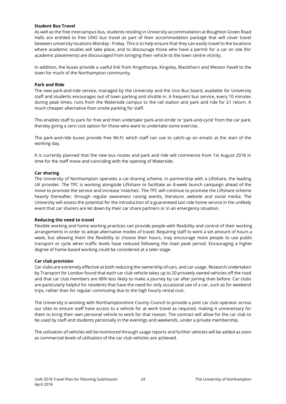## **Student Bus Travel**

As well as the free intercampus bus, students residing in University accommodation at Boughton Green Road Halls are entitled to free UNO bus travel as part of their accommodation package that will cover travel between university locations Monday - Friday. This is to help ensure that they can easily travel to the locations where academic studies will take place, and to discourage those who have a permit for a car on site (for academic placements) are discouraged from bringing their vehicle to the town centre vicinity.

In addition, the buses provide a useful link from Kingsthorpe, Kingsley, Blackthorn and Weston Favell to the town for much of the Northampton community.

## **Park and Ride**

The new park-and-ride service, managed by the University and the Uno Bus board, available for University staff and students encourages out of town parking and shuttle in. A frequent bus service, every 10 minutes during peak times, runs from the Waterside campus to the rail station and park and ride for £1 return. A much cheaper alternative than onsite parking for staff.

This enables staff to park for free and then undertake 'park-and-stride' or 'park-and-cycle' from the car park; thereby giving a zero cost option for those who want to undertake some exercise.

The park-and-ride buses provide free Wi-Fi; which staff can use to catch-up on emails at the start of the working day.

It is currently planned that the new bus routes and park and ride will commence from 1st August 2018 in time for the staff move and coinciding with the opening of Waterside.

# **Car sharing**

The University of Northampton operates a car-sharing scheme, in partnership with a Liftshare, the leading UK provider. The TPC is working alongside Liftshare to facilitate an 8-week launch campaign ahead of the move to promote the service and increase 'matches'. The TPC will continue to promote the Liftshare scheme heavily thereafter, through regular awareness raising events, literature, website and social media. The University will assess the potential for the introduction of a guaranteed taxi ride home service in the unlikely event that car sharers are let down by their car share partners or in an emergency situation.

## **Reducing the need to travel**

Flexible working and home working practices can provide people with flexibility and control of their working arrangements in order to adopt alternative modes of travel. Requiring staff to work a set amount of hours a week, but allowing them the flexibility to choose their hours, may encourage more people to use public transport or cycle when traffic levels have reduced following the main peak period. Encouraging a higher degree of home-based working could be considered at a later stage.

## **Car club provision**

Car clubs are extremely effective at both reducing the ownership of cars, and car usage. Research undertaken by Transport for London found that each car club vehicle takes up to 20 privately owned vehicles off the road and that car club members are 68% less likely to make a journey by car after joining than before. Car clubs are particularly helpful for residents that have the need for only occasional use of a car, such as for weekend trips, rather than for regular commuting due to the high hourly rental cost.

The University is working with Northamptonshire County Council to provide a joint car club operator across our sites to ensure staff have access to a vehicle for at work travel as required, making it unnecessary for them to bring their own personal vehicle to work for that reason. The contract will allow for the car club to be used by staff and students personally in the evenings and weekends, under a private membership.

The utilisation of vehicles will be monitored through usage reports and further vehicles will be added as soon as commercial levels of utilisation of the car club vehicles are achieved.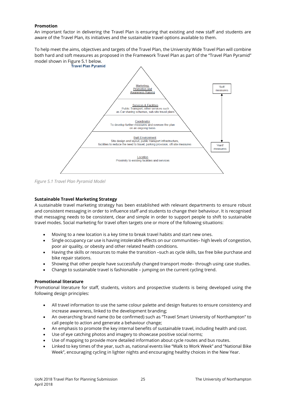# **Promotion**

An important factor in delivering the Travel Plan is ensuring that existing and new staff and students are aware of the Travel Plan, its initiatives and the sustainable travel options available to them.

To help meet the aims, objectives and targets of the Travel Plan, the University Wide Travel Plan will combine both hard and soft measures as proposed in the Framework Travel Plan as part of the "Travel Plan Pyramid" model shown in Figure 5.1 below.



*Figure 5.1 Travel Plan Pyramid Model* 

# **Sustainable Travel Marketing Strategy**

A sustainable travel marketing strategy has been established with relevant departments to ensure robust and consistent messaging in order to influence staff and students to change their behaviour. It is recognised that messaging needs to be consistent, clear and simple in order to support people to shift to sustainable travel modes. Social marketing for travel often targets one or more of the following situations:

- Moving to a new location is a key time to break travel habits and start new ones.
- Single occupancy car use is having intolerable effects on our communities- high levels of congestion, poor air quality, or obesity and other related health conditions.
- Having the skills or resources to make the transition –such as cycle skills, tax free bike purchase and bike repair stations.
- Showing that other people have successfully changed transport mode– through using case studies.
- Change to sustainable travel is fashionable jumping on the current cycling trend.

## **Promotional literature**

Promotional literature for staff, students, visitors and prospective students is being developed using the following design principles:

- All travel information to use the same colour palette and design features to ensure consistency and increase awareness, linked to the development branding;
- An overarching brand name (to be confirmed) such as "Travel Smart University of Northampton" to call people to action and generate a behaviour change;
- An emphasis to promote the key internal benefits of sustainable travel, including health and cost.
- Use of eye catching photos and imagery to showcase positive social norms;
- Use of mapping to provide more detailed information about cycle routes and bus routes.
- Linked to key times of the year, such as, national events like "Walk to Work Week" and "National Bike Week", encouraging cycling in lighter nights and encouraging healthy choices in the New Year.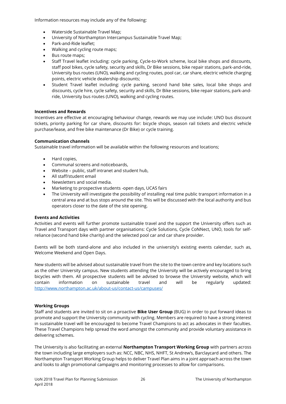Information resources may include any of the following:

- Waterside Sustainable Travel Map;
- University of Northampton Intercampus Sustainable Travel Map;
- Park-and-Ride leaflet;
- Walking and cycling route maps;
- Bus route maps;
- Staff Travel leaflet including: cycle parking, Cycle-to-Work scheme, local bike shops and discounts, staff pool bikes, cycle safety, security and skills, Dr Bike sessions, bike repair stations, park-and-ride, University bus routes (UNO), walking and cycling routes, pool car, car share, electric vehicle charging points, electric vehicle dealership discounts;
- Student Travel leaflet including: cycle parking, second hand bike sales, local bike shops and discounts, cycle hire, cycle safety, security and skills, Dr Bike sessions, bike repair stations, park-andride, University bus routes (UNO), walking and cycling routes.

# **Incentives and Rewards**

Incentives are effective at encouraging behaviour change, rewards we may use include: UNO bus discount tickets, priority parking for car share, discounts for: bicycle shops, season rail tickets and electric vehicle purchase/lease, and free bike maintenance (Dr Bike) or cycle training.

# **Communication channels**

Sustainable travel information will be available within the following resources and locations;

- Hard copies,
- Communal screens and noticeboards,
- Website public, staff intranet and student hub,
- All staff/student email
- Newsletters and social media.
- Marketing to prospective students -open days, UCAS fairs
- The University will investigate the possibility of installing real time public transport information in a central area and at bus stops around the site. This will be discussed with the local authority and bus operators closer to the date of the site opening.

# **Events and Activities**

Activities and events will further promote sustainable travel and the support the University offers such as Travel and Transport days with partner organisations: Cycle Solutions, Cycle CoNNect, UNO, tools for selfreliance (second hand bike charity) and the selected pool car and car share provider.

Events will be both stand-alone and also included in the university's existing events calendar, such as, Welcome Weekend and Open Days.

New students will be advised about sustainable travel from the site to the town centre and key locations such as the other University campus. New students attending the University will be actively encouraged to bring bicycles with them. All prospective students will be advised to browse the University website, which will contain information on sustainable travel and will be regularly updated: <http://www.northampton.ac.uk/about-us/contact-us/campuses/>

# **Working Groups**

Staff and students are invited to sit on a proactive **Bike User Group** (BUG) in order to put forward ideas to promote and support the University community with cycling. Members are required to have a strong interest in sustainable travel will be encouraged to become Travel Champions to act as advocates in their faculties. These Travel Champions help spread the word amongst the community and provide voluntary assistance in delivering schemes.

The University is also facilitating an external **Northampton Transport Working Group** with partners across the town including large employers such as: NCC, NBC, NHS, NHFT, St Andrew's, Barclaycard and others. The Northampton Transport Working Group helps to deliver Travel Plan aims in a joint approach across the town and looks to align promotional campaigns and monitoring processes to allow for comparisons.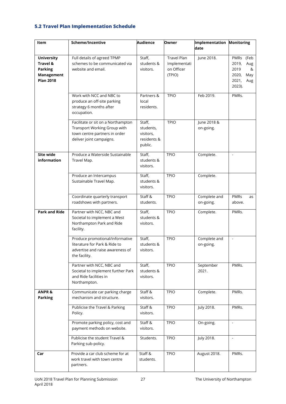# **5.2 Travel Plan Implementation Schedule**

| Item                                                                                         | Scheme/Incentive                                                                                                                | <b>Audience</b>                                            | Owner                                                      | Implementation Monitoring |                                                                                  |
|----------------------------------------------------------------------------------------------|---------------------------------------------------------------------------------------------------------------------------------|------------------------------------------------------------|------------------------------------------------------------|---------------------------|----------------------------------------------------------------------------------|
|                                                                                              |                                                                                                                                 |                                                            |                                                            | date                      |                                                                                  |
| <b>University</b><br><b>Travel &amp;</b><br><b>Parking</b><br>Management<br><b>Plan 2018</b> | Full details of agreed TPMP<br>schemes to be communicated via<br>website and email.                                             | Staff,<br>students &<br>visitors.                          | <b>Travel Plan</b><br>Implementati<br>on Officer<br>(TPIO) | June 2018.                | PMRs (Feb<br>2019,<br>Aug<br>2019<br>&<br>2020,<br>May<br>2021,<br>Aug<br>2023). |
|                                                                                              | Work with NCC and NBC to<br>produce an off-site parking<br>strategy 6 months after<br>occupation.                               | Partners &<br>local<br>residents.                          | <b>TPIO</b>                                                | Feb 2019.                 | PMRs.                                                                            |
|                                                                                              | Facilitate or sit on a Northampton<br>Transport Working Group with<br>town centre partners in order<br>deliver joint campaigns. | Staff,<br>students,<br>visitors,<br>residents &<br>public. | <b>TPIO</b>                                                | June 2018 &<br>on-going.  |                                                                                  |
| Site wide<br><b>information</b>                                                              | Produce a Waterside Sustainable<br>Travel Map.                                                                                  | Staff,<br>students &<br>visitors.                          | <b>TPIO</b>                                                | Complete.                 | $\sim$                                                                           |
|                                                                                              | Produce an Intercampus<br>Sustainable Travel Map.                                                                               | Staff,<br>students &<br>visitors.                          | <b>TPIO</b>                                                | Complete.                 |                                                                                  |
|                                                                                              | Coordinate quarterly transport<br>roadshows with partners.                                                                      | Staff &<br>students.                                       | <b>TPIO</b>                                                | Complete and<br>on-going. | <b>PMRs</b><br>as<br>above.                                                      |
| <b>Park and Ride</b>                                                                         | Partner with NCC, NBC and<br>Societal to implement a West<br>Northampton Park and Ride<br>facility.                             | Staff,<br>students &<br>visitors.                          | <b>TPIO</b>                                                | Complete.                 | PMRs.                                                                            |
|                                                                                              | Produce promotional/informative<br>literature for Park & Ride to<br>advertise and raise awareness of<br>the facility.           | Staff,<br>students &<br>visitors.                          | <b>TPIO</b>                                                | Complete and<br>on-going. | $\blacksquare$                                                                   |
|                                                                                              | Partner with NCC, NBC and<br>Societal to implement further Park<br>and Ride facilities in<br>Northampton.                       | Staff,<br>students &<br>visitors.                          | <b>TPIO</b>                                                | September<br>2021.        | PMRs.                                                                            |
| <b>ANPR &amp;</b><br><b>Parking</b>                                                          | Communicate car parking charge<br>mechanism and structure.                                                                      | Staff &<br>visitors.                                       | <b>TPIO</b>                                                | Complete.                 | PMRs.                                                                            |
|                                                                                              | Publicise the Travel & Parking<br>Policy.                                                                                       | Staff &<br>visitors.                                       | <b>TPIO</b>                                                | July 2018.                | PMRs.                                                                            |
|                                                                                              | Promote parking policy, cost and<br>payment methods on website.                                                                 | Staff &<br>visitors.                                       | <b>TPIO</b>                                                | On-going.                 | $\overline{\phantom{a}}$                                                         |
|                                                                                              | Publicise the student Travel &<br>Parking sub-policy.                                                                           | Students.                                                  | <b>TPIO</b>                                                | July 2018.                | $\blacksquare$                                                                   |
| Car                                                                                          | Provide a car club scheme for at<br>work travel with town centre<br>partners.                                                   | Staff &<br>students.                                       | <b>TPIO</b>                                                | August 2018.              | PMRs.                                                                            |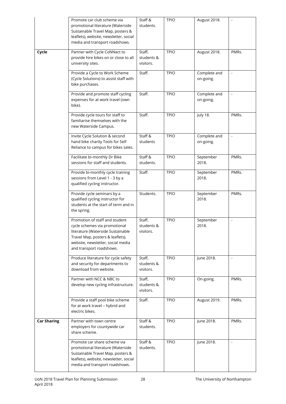|                    | Promote car club scheme via<br>promotional literature (Waterside<br>Sustainable Travel Map, posters &<br>leaflets), website, newsletter, social<br>media and transport roadshows.                         | Staff &<br>students.              | <b>TPIO</b> | August 2018.              | $\overline{\phantom{a}}$ |
|--------------------|-----------------------------------------------------------------------------------------------------------------------------------------------------------------------------------------------------------|-----------------------------------|-------------|---------------------------|--------------------------|
| Cycle              | Partner with Cycle CoNNect to<br>provide hire bikes on or close to all<br>university sites.                                                                                                               | Staff,<br>students &<br>visitors. | <b>TPIO</b> | August 2018.              | PMRs.                    |
|                    | Provide a Cycle to Work Scheme<br>(Cycle Solutions) to assist staff with<br>bike purchases.                                                                                                               | Staff.                            | <b>TPIO</b> | Complete and<br>on-going. | $\overline{\phantom{a}}$ |
|                    | Provide and promote staff cycling<br>expenses for at work travel (own<br>bike).                                                                                                                           | Staff.                            | <b>TPIO</b> | Complete and<br>on-going. |                          |
|                    | Provide cycle tours for staff to<br>familiarise themselves with the<br>new Waterside Campus.                                                                                                              | Staff.                            | <b>TPIO</b> | July 18.                  | PMRs.                    |
|                    | Invite Cycle Solution & second<br>hand bike charity Tools for Self<br>Reliance to campus for bikes sales.                                                                                                 | Staff &<br>students               | <b>TPIO</b> | Complete and<br>on-going. | $\Box$                   |
|                    | Facilitate bi-monthly Dr Bike<br>sessions for staff and students.                                                                                                                                         | Staff &<br>students.              | <b>TPIO</b> | September<br>2018.        | PMRs.                    |
|                    | Provide bi-monthly cycle training<br>sessions from Level 1 - 3 by a<br>qualified cycling instructor.                                                                                                      | Staff.                            | <b>TPIO</b> | September<br>2018.        | PMRs.                    |
|                    | Provide cycle seminars by a<br>qualified cycling instructor for<br>students at the start of term and in<br>the spring.                                                                                    | Students.                         | <b>TPIO</b> | September<br>2018.        | PMRs.                    |
|                    | Promotion of staff and student<br>cycle schemes via promotional<br>literature (Waterside Sustainable<br>Travel Map, posters & leaflets),<br>website, newsletter, social media<br>and transport roadshows. | Staff,<br>students &<br>visitors. | <b>TPIO</b> | September<br>2018.        | $\overline{\phantom{a}}$ |
|                    | Produce literature for cycle safety<br>and security for departments to<br>download from website.                                                                                                          | Staff,<br>students &<br>visitors. | <b>TPIO</b> | June 2018.                |                          |
|                    | Partner with NCC & NBC to<br>develop new cycling infrastructure.                                                                                                                                          | Staff,<br>students &<br>visitors. | <b>TPIO</b> | On-going.                 | PMRs.                    |
|                    | Provide a staff pool bike scheme<br>for at work travel - hybrid and<br>electric bikes.                                                                                                                    | Staff.                            | <b>TPIO</b> | August 2019.              | PMRs.                    |
| <b>Car Sharing</b> | Partner with town centre<br>employers for countywide car<br>share scheme.                                                                                                                                 | Staff &<br>students.              | <b>TPIO</b> | June 2018.                | PMRs.                    |
|                    | Promote car share scheme via<br>promotional literature (Waterside<br>Sustainable Travel Map, posters &<br>leaflets), website, newsletter, social<br>media and transport roadshows.                        | Staff &<br>students.              | <b>TPIO</b> | June 2018.                | $\overline{\phantom{a}}$ |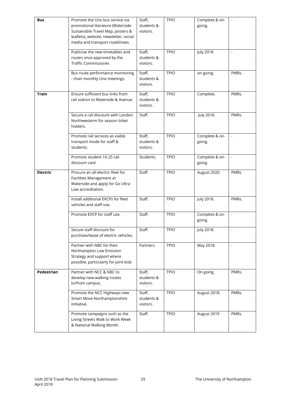| <b>Bus</b>      | Promote the Uno bus service via<br>promotional literature (Waterside<br>Sustainable Travel Map, posters &<br>leaflets), website, newsletter, social<br>media and transport roadshows. | Staff,<br>students &<br>visitors. | <b>TPIO</b> | Complete & on-<br>going. | $\blacksquare$           |
|-----------------|---------------------------------------------------------------------------------------------------------------------------------------------------------------------------------------|-----------------------------------|-------------|--------------------------|--------------------------|
|                 | Publicise the new timetables and<br>routes once approved by the<br>Traffic Commissioner.                                                                                              | Staff,<br>students &<br>visitors. | <b>TPIO</b> | July 2018.               | $\blacksquare$           |
|                 | Bus route performance monitoring<br>- chair monthly Uno meetings.                                                                                                                     | Staff,<br>students &<br>visitors. | <b>TPIO</b> | on-going.                | PMRs.                    |
| <b>Train</b>    | Ensure sufficient bus links from<br>rail station to Waterside & Avenue.                                                                                                               | Staff,<br>students &<br>visitors. | <b>TPIO</b> | Complete.                | PMRs.                    |
|                 | Secure a rail discount with London<br>Northwesterm for season ticket<br>holders.                                                                                                      | Staff.                            | <b>TPIO</b> | July 2018.               | PMRs.                    |
|                 | Promote rail services as viable<br>transport mode for staff &<br>students.                                                                                                            | Staff,<br>students &<br>visitors. | <b>TPIO</b> | Complete & on-<br>going. | $\blacksquare$           |
|                 | Promote student 16-25 rail<br>discount card.                                                                                                                                          | Students.                         | <b>TPIO</b> | Complete & on-<br>going. |                          |
| <b>Electric</b> | Procure an all-electric fleet for<br>Facilities Management at<br>Waterside and apply for Go Ultra<br>Low accreditation.                                                               | Staff.                            | <b>TPIO</b> | August 2020.             | PMRs.                    |
|                 | Install additional EVCPs for fleet<br>vehicles and staff use.                                                                                                                         | Staff.                            | <b>TPIO</b> | July 2018.               | PMRs.                    |
|                 | Promote EVCP for staff use.                                                                                                                                                           | Staff.                            | <b>TPIO</b> | Complete & on-<br>going. |                          |
|                 | Secure staff discount for<br>purchase/lease of electric vehicles.                                                                                                                     | Staff.                            | <b>TPIO</b> | July 2018.               | $\sim$                   |
|                 | Partner with NBC for their<br>Northampton Low Emission<br>Strategy and support where<br>possible, particularly for joint bids                                                         | Partners.                         | <b>TPIO</b> | May 2018.                | $\overline{\phantom{a}}$ |
| Pedestrian      | Partner with NCC & NBC to<br>develop new walking routes<br>to/from campus.                                                                                                            | Staff,<br>students &<br>visitors. | <b>TPIO</b> | On-going.                | PMRs.                    |
|                 | Promote the NCC Highways new<br>Smart Move Northamptonshire<br>initiative.                                                                                                            | Staff,<br>students &<br>visitors. | <b>TPIO</b> | August 2018.             | PMRs.                    |
|                 | Promote campaigns such as the<br>Living Streets Walk to Work Week<br>& National Walking Month.                                                                                        | Staff.                            | <b>TPIO</b> | August 2019              | PMRs.                    |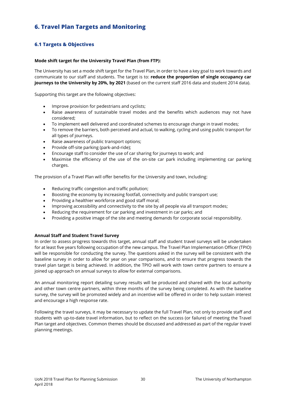# **6. Travel Plan Targets and Monitoring**

# **6.1 Targets & Objectives**

# **Mode shift target for the University Travel Plan (from FTP):**

The University has set a mode shift target for the Travel Plan, in order to have a key goal to work towards and communicate to our staff and students. The target is to: **reduce the proportion of single occupancy car journeys to the University by 20%, by 2021** (based on the current staff 2016 data and student 2014 data).

Supporting this target are the following objectives:

- Improve provision for pedestrians and cyclists;
- Raise awareness of sustainable travel modes and the benefits which audiences may not have considered;
- To implement well delivered and coordinated schemes to encourage change in travel modes;
- To remove the barriers, both perceived and actual, to walking, cycling and using public transport for all types of journeys.
- Raise awareness of public transport options;
- Provide off-site parking (park-and-ride);
- Encourage staff to consider the use of car sharing for journeys to work; and
- Maximise the efficiency of the use of the on-site car park including implementing car parking charges.

The provision of a Travel Plan will offer benefits for the University and town, including:

- Reducing traffic congestion and traffic pollution;
- Boosting the economy by increasing footfall, connectivity and public transport use;
- Providing a healthier workforce and good staff moral;
- Improving accessibility and connectivity to the site by all people via all transport modes;
- Reducing the requirement for car parking and investment in car parks; and
- Providing a positive image of the site and meeting demands for corporate social responsibility.

# **Annual Staff and Student Travel Survey**

In order to assess progress towards this target, annual staff and student travel surveys will be undertaken for at least five years following occupation of the new campus. The Travel Plan Implementation Officer (TPIO) will be responsible for conducting the survey. The questions asked in the survey will be consistent with the baseline survey in order to allow for year on year comparisons, and to ensure that progress towards the travel plan target is being achieved. In addition, the TPIO will work with town centre partners to ensure a joined up approach on annual surveys to allow for external comparisons.

An annual monitoring report detailing survey results will be produced and shared with the local authority and other town centre partners, within three months of the survey being completed. As with the baseline survey, the survey will be promoted widely and an incentive will be offered in order to help sustain interest and encourage a high response rate.

Following the travel surveys, it may be necessary to update the full Travel Plan, not only to provide staff and students with up-to-date travel information, but to reflect on the success (or failure) of meeting the Travel Plan target and objectives. Common themes should be discussed and addressed as part of the regular travel planning meetings.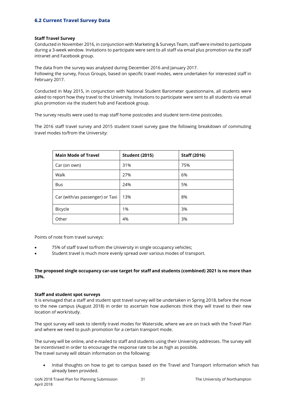# **6.2 Current Travel Survey Data**

## **Staff Travel Survey**

Conducted in November 2016, in conjunction with Marketing & Surveys Team, staff were invited to participate during a 3-week window. Invitations to participate were sent to all staff via email plus promotion via the staff intranet and Facebook group.

The data from the survey was analysed during December 2016 and January 2017. Following the survey, Focus Groups, based on specific travel modes, were undertaken for interested staff in February 2017.

Conducted in May 2015, in conjunction with National Student Barometer questionnaire, all students were asked to report how they travel to the University. Invitations to participate were sent to all students via email plus promotion via the student hub and Facebook group.

The survey results were used to map staff home postcodes and student term-time postcodes.

The 2016 staff travel survey and 2015 student travel survey gave the following breakdown of commuting travel modes to/from the University:

| <b>Main Mode of Travel</b>      | <b>Student (2015)</b> | <b>Staff (2016)</b> |
|---------------------------------|-----------------------|---------------------|
| Car (on own)                    | 31%                   | 75%                 |
| Walk                            | 27%                   | 6%                  |
| <b>Bus</b>                      | 24%                   | 5%                  |
| Car (with/as passenger) or Taxi | 13%                   | 8%                  |
| Bicycle                         | 1%                    | 3%                  |
| Other                           | 4%                    | 3%                  |

Points of note from travel surveys:

- 75% of staff travel to/from the University in single occupancy vehicles;
- Student travel is much more evenly spread over various modes of transport.

# **The proposed single occupancy car-use target for staff and students (combined) 2021 is no more than 33%.**

## **Staff and student spot surveys**

It is envisaged that a staff and student spot travel survey will be undertaken in Spring 2018, before the move to the new campus (August 2018) in order to ascertain how audiences think they will travel to their new location of work/study.

The spot survey will seek to identify travel modes for Waterside, where we are on track with the Travel Plan and where we need to push promotion for a certain transport mode.

The survey will be online, and e-mailed to staff and students using their University addresses. The survey will be incentivised in order to encourage the response rate to be as high as possible. The travel survey will obtain information on the following:

 Initial thoughts on how to get to campus based on the Travel and Transport information which has already been provided.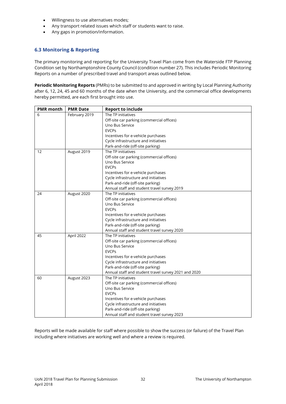- Willingness to use alternatives modes;
- Any transport related issues which staff or students want to raise.
- Any gaps in promotion/information.

# **6.3 Monitoring & Reporting**

The primary monitoring and reporting for the University Travel Plan come from the Waterside FTP Planning Condition set by Northamptonshire County Council (condition number 27). This includes Periodic Monitoring Reports on a number of prescribed travel and transport areas outlined below.

**Periodic Monitoring Reports** (PMRs) to be submitted to and approved in writing by Local Planning Authority after 6, 12, 24, 45 and 60 months of the date when the University, and the commercial office developments hereby permitted, are each first brought into use.

| <b>PMR</b> month | <b>PMR Date</b> | <b>Report to include</b>                             |
|------------------|-----------------|------------------------------------------------------|
| 6                | February 2019   | The TP initiatives                                   |
|                  |                 | Off-site car parking (commercial offices)            |
|                  |                 | Uno Bus Service                                      |
|                  |                 | <b>EVCPs</b>                                         |
|                  |                 | Incentives for e-vehicle purchases                   |
|                  |                 | Cycle infrastructure and initiatives                 |
|                  |                 | Park-and-ride (off-site parking)                     |
| 12               | August 2019     | The TP initiatives                                   |
|                  |                 | Off-site car parking (commercial offices)            |
|                  |                 | Uno Bus Service                                      |
|                  |                 | <b>EVCPs</b>                                         |
|                  |                 | Incentives for e-vehicle purchases                   |
|                  |                 | Cycle infrastructure and initiatives                 |
|                  |                 | Park-and-ride (off-site parking)                     |
|                  |                 | Annual staff and student travel survey 2019          |
| 24               | August 2020     | The TP initiatives                                   |
|                  |                 | Off-site car parking (commercial offices)            |
|                  |                 | Uno Bus Service                                      |
|                  |                 | <b>EVCPs</b>                                         |
|                  |                 | Incentives for e-vehicle purchases                   |
|                  |                 | Cycle infrastructure and initiatives                 |
|                  |                 | Park-and-ride (off-site parking)                     |
|                  |                 | Annual staff and student travel survey 2020          |
| 45               | April 2022      | The TP initiatives                                   |
|                  |                 | Off-site car parking (commercial offices)            |
|                  |                 | Uno Bus Service                                      |
|                  |                 | <b>EVCPs</b>                                         |
|                  |                 | Incentives for e-vehicle purchases                   |
|                  |                 | Cycle infrastructure and initiatives                 |
|                  |                 | Park-and-ride (off-site parking)                     |
|                  |                 | Annual staff and student travel survey 2021 and 2020 |
| 60               | August 2023     | The TP initiatives                                   |
|                  |                 | Off-site car parking (commercial offices)            |
|                  |                 | Uno Bus Service                                      |
|                  |                 | <b>EVCPs</b>                                         |
|                  |                 | Incentives for e-vehicle purchases                   |
|                  |                 | Cycle infrastructure and initiatives                 |
|                  |                 | Park-and-ride (off-site parking)                     |
|                  |                 | Annual staff and student travel survey 2023          |

Reports will be made available for staff where possible to show the success (or failure) of the Travel Plan including where initiatives are working well and where a review is required.